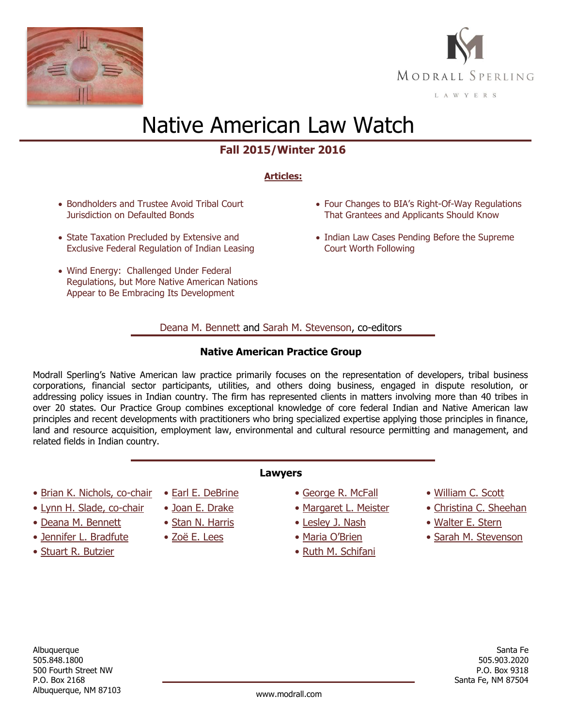



# Native American Law Watch

# **Fall 2015/Winter 2016**

## **Articles:**

- Bondholders and Trustee Avoid Tribal Court [Jurisdiction on Defaulted Bonds](#page-1-0)
- State Taxation Precluded by Extensive and [Exclusive Federal Regulation of Indian Leasing](#page-3-0)
- [Wind Energy: Challenged Under Federal](#page-5-0)  [Regulations, but More Native American Nations](#page-5-0)  [Appear to Be Embracing Its Development](#page-5-0)
- Four [Changes to BIA's Right](#page-7-0)-Of-Way Regulations [That Grantees and Applicants Should Know](#page-7-0)
- [Indian Law Cases Pending Before the Supreme](#page-8-0) [Court Worth Following](#page-8-0)

### [Deana M. Bennett](http://www.modrall.com/dmb) and [Sarah M. Stevenson,](http://www.modrall.com/sms) co-editors

### **Native American Practice Group**

Modrall Sperling's Native American law practice primarily focuses on the representation of developers, tribal business corporations, financial sector participants, utilities, and others doing business, engaged in dispute resolution, or addressing policy issues in Indian country. The firm has represented clients in matters involving more than 40 tribes in over 20 states. Our Practice Group combines exceptional knowledge of core federal Indian and Native American law principles and recent developments with practitioners who bring specialized expertise applying those principles in finance, land and resource acquisition, employment law, environmental and cultural resource permitting and management, and related fields in Indian country.

**Lawyers**

- [Brian K. Nichols,](http://www.modrall.com/bkn) co-chair
- [Lynn H. Slade,](http://www.modrall.com/lhs) co-chair
- [Deana M. Bennett](http://www.modrall.com/dmb)
- [Jennifer L. Bradfute](http://www.modrall.com/jlb)
- [Stuart R. Butzier](http://www.modrall.com/srb)
- [Earl E. DeBrine](http://www.modrall.com/eed)
- [Joan E. Drake](http://www.modrall.com/jed)
- [Stan N. Harris](http://www.modrall.com/snh)
- [Zoë E. Lees](http://www.modrall.com/zel)
- [George R. McFall](http://www.modrall.com/grm)
- [Margaret L. Meister](http://www.modrall.com/mlm)
- [Lesley J. Nash](http://www.modrall.com/ljn)
- • [Maria O'Brien](http://www.modrall.com/mob)
- [Ruth M. Schifani](http://www.modrall.com/rms)
- [William C. Scott](http://www.modrall.com/wcs)
- [Christina C. Sheehan](http://www.modrall.com/ccs)
- [Walter E. Stern](http://www.modrall.com/wes)
- [Sarah M. Stevenson](http://www.modrall.com/sms)

Albuquerque 505.848.1800 500 Fourth Street NW P.O. Box 2168 Albuquerque, NM 87103 www.modrall.com

Santa Fe 505.903.2020 P.O. Box 9318 Santa Fe, NM 87504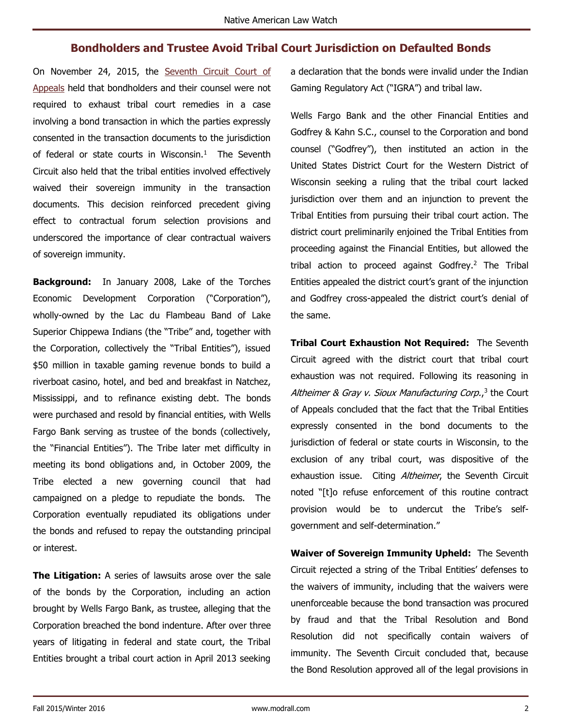# **Bondholders and Trustee Avoid Tribal Court Jurisdiction on Defaulted Bonds**

<span id="page-1-0"></span>On November 24, 2015, the [Seventh Circuit Court of](http://modrall.com/Files/Docs/Stifel_v._Lac_du_Flambeau.PDF)  [Appeals](http://modrall.com/Files/Docs/Stifel_v._Lac_du_Flambeau.PDF) held that bondholders and their counsel were not required to exhaust tribal court remedies in a case involving a bond transaction in which the parties expressly consented in the transaction documents to the jurisdiction of federal or state courts in Wisconsin. $1$  The Seventh Circuit also held that the tribal entities involved effectively waived their sovereign immunity in the transaction documents. This decision reinforced precedent giving effect to contractual forum selection provisions and underscored the importance of clear contractual waivers of sovereign immunity.

**Background:** In January 2008, Lake of the Torches Economic Development Corporation ("Corporation"), wholly-owned by the Lac du Flambeau Band of Lake Superior Chippewa Indians (the "Tribe" and, together with the Corporation, collectively the "Tribal Entities"), issued \$50 million in taxable gaming revenue bonds to build a riverboat casino, hotel, and bed and breakfast in Natchez, Mississippi, and to refinance existing debt. The bonds were purchased and resold by financial entities, with Wells Fargo Bank serving as trustee of the bonds (collectively, the "Financial Entities"). The Tribe later met difficulty in meeting its bond obligations and, in October 2009, the Tribe elected a new governing council that had campaigned on a pledge to repudiate the bonds. The Corporation eventually repudiated its obligations under the bonds and refused to repay the outstanding principal or interest.

**The Litigation:** A series of lawsuits arose over the sale of the bonds by the Corporation, including an action brought by Wells Fargo Bank, as trustee, alleging that the Corporation breached the bond indenture. After over three years of litigating in federal and state court, the Tribal Entities brought a tribal court action in April 2013 seeking a declaration that the bonds were invalid under the Indian Gaming Regulatory Act ("IGRA") and tribal law.

Wells Fargo Bank and the other Financial Entities and Godfrey & Kahn S.C., counsel to the Corporation and bond counsel ("Godfrey"), then instituted an action in the United States District Court for the Western District of Wisconsin seeking a ruling that the tribal court lacked jurisdiction over them and an injunction to prevent the Tribal Entities from pursuing their tribal court action. The district court preliminarily enjoined the Tribal Entities from proceeding against the Financial Entities, but allowed the tribal action to proceed against Godfrey.<sup>2</sup> The Tribal Entities appealed the district court's grant of the injunction and Godfrey cross-appealed the district court's denial of the same.

**Tribal Court Exhaustion Not Required:** The Seventh Circuit agreed with the district court that tribal court exhaustion was not required. Following its reasoning in Altheimer & Gray v. Sioux Manufacturing Corp.,<sup>3</sup> the Court of Appeals concluded that the fact that the Tribal Entities expressly consented in the bond documents to the jurisdiction of federal or state courts in Wisconsin, to the exclusion of any tribal court, was dispositive of the exhaustion issue. Citing Altheimer, the Seventh Circuit noted "[t]o refuse enforcement of this routine contract provision would be to undercut the Tribe's selfgovernment and self-determination."

**Waiver of Sovereign Immunity Upheld:** The Seventh Circuit rejected a string of the Tribal Entities' defenses to the waivers of immunity, including that the waivers were unenforceable because the bond transaction was procured by fraud and that the Tribal Resolution and Bond Resolution did not specifically contain waivers of immunity. The Seventh Circuit concluded that, because the Bond Resolution approved all of the legal provisions in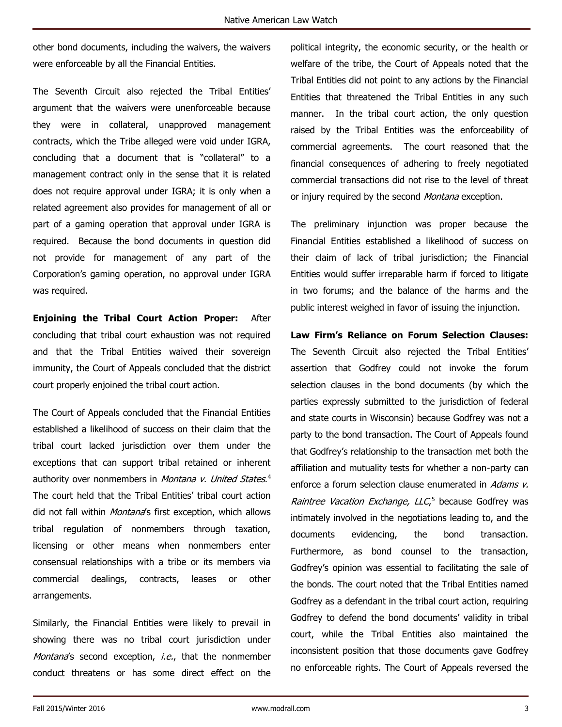other bond documents, including the waivers, the waivers were enforceable by all the Financial Entities.

The Seventh Circuit also rejected the Tribal Entities' argument that the waivers were unenforceable because they were in collateral, unapproved management contracts, which the Tribe alleged were void under IGRA, concluding that a document that is "collateral" to a management contract only in the sense that it is related does not require approval under IGRA; it is only when a related agreement also provides for management of all or part of a gaming operation that approval under IGRA is required. Because the bond documents in question did not provide for management of any part of the Corporation's gaming operation, no approval under IGRA was required.

**Enjoining the Tribal Court Action Proper:** After concluding that tribal court exhaustion was not required and that the Tribal Entities waived their sovereign immunity, the Court of Appeals concluded that the district court properly enjoined the tribal court action.

The Court of Appeals concluded that the Financial Entities established a likelihood of success on their claim that the tribal court lacked jurisdiction over them under the exceptions that can support tribal retained or inherent authority over nonmembers in *Montana v. United States*.<sup>4</sup> The court held that the Tribal Entities' tribal court action did not fall within *Montana's* first exception, which allows tribal regulation of nonmembers through taxation, licensing or other means when nonmembers enter consensual relationships with a tribe or its members via commercial dealings, contracts, leases or other arrangements.

Similarly, the Financial Entities were likely to prevail in showing there was no tribal court jurisdiction under Montana's second exception, *i.e.*, that the nonmember conduct threatens or has some direct effect on the political integrity, the economic security, or the health or welfare of the tribe, the Court of Appeals noted that the Tribal Entities did not point to any actions by the Financial Entities that threatened the Tribal Entities in any such manner. In the tribal court action, the only question raised by the Tribal Entities was the enforceability of commercial agreements. The court reasoned that the financial consequences of adhering to freely negotiated commercial transactions did not rise to the level of threat or injury required by the second *Montana* exception.

The preliminary injunction was proper because the Financial Entities established a likelihood of success on their claim of lack of tribal jurisdiction; the Financial Entities would suffer irreparable harm if forced to litigate in two forums; and the balance of the harms and the public interest weighed in favor of issuing the injunction.

**Law Firm's Reliance on Forum Selection Clauses:** The Seventh Circuit also rejected the Tribal Entities' assertion that Godfrey could not invoke the forum selection clauses in the bond documents (by which the parties expressly submitted to the jurisdiction of federal and state courts in Wisconsin) because Godfrey was not a party to the bond transaction. The Court of Appeals found that Godfrey's relationship to the transaction met both the affiliation and mutuality tests for whether a non-party can enforce a forum selection clause enumerated in Adams v. Raintree Vacation Exchange, LLC<sub>,</sub><sup>5</sup> because Godfrey was intimately involved in the negotiations leading to, and the documents evidencing, the bond transaction. Furthermore, as bond counsel to the transaction, Godfrey's opinion was essential to facilitating the sale of the bonds. The court noted that the Tribal Entities named Godfrey as a defendant in the tribal court action, requiring Godfrey to defend the bond documents' validity in tribal court, while the Tribal Entities also maintained the inconsistent position that those documents gave Godfrey no enforceable rights. The Court of Appeals reversed the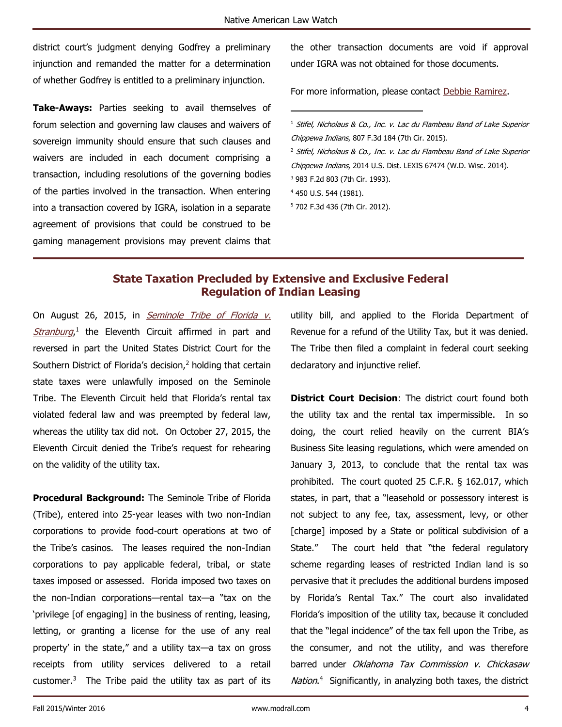$\overline{a}$ 

district court's judgment denying Godfrey a preliminary injunction and remanded the matter for a determination of whether Godfrey is entitled to a preliminary injunction.

**Take-Aways:** Parties seeking to avail themselves of forum selection and governing law clauses and waivers of sovereign immunity should ensure that such clauses and waivers are included in each document comprising a transaction, including resolutions of the governing bodies of the parties involved in the transaction. When entering into a transaction covered by IGRA, isolation in a separate agreement of provisions that could be construed to be gaming management provisions may prevent claims that the other transaction documents are void if approval under IGRA was not obtained for those documents.

For more information, please contact [Debbie Ramirez.](http://www.modrall.com/DeboraRamirez)

- $1$  Stifel, Nicholaus & Co., Inc. v. Lac du Flambeau Band of Lake Superior Chippewa Indians, 807 F.3d 184 (7th Cir. 2015).
- <sup>2</sup> Stifel, Nicholaus & Co., Inc. v. Lac du Flambeau Band of Lake Superior
- Chippewa Indians, 2014 U.S. Dist. LEXIS 67474 (W.D. Wisc. 2014).
- <sup>3</sup> 983 F.2d 803 (7th Cir. 1993).
- <sup>4</sup> 450 U.S. 544 (1981).
- <sup>5</sup> 702 F.3d 436 (7th Cir. 2012).

# **State Taxation Precluded by Extensive and Exclusive Federal Regulation of Indian Leasing**

<span id="page-3-0"></span>On August 26, 2015, in **Seminole Tribe of Florida v.** [Stranburg](http://modrall.com/Files/Docs/Seminole_Tribe_v._Stanburg.PDF),<sup>1</sup> the Eleventh Circuit affirmed in part and reversed in part the United States District Court for the Southern District of Florida's decision,<sup>2</sup> holding that certain state taxes were unlawfully imposed on the Seminole Tribe. The Eleventh Circuit held that Florida's rental tax violated federal law and was preempted by federal law, whereas the utility tax did not. On October 27, 2015, the Eleventh Circuit denied the Tribe's request for rehearing on the validity of the utility tax.

**Procedural Background:** The Seminole Tribe of Florida (Tribe), entered into 25-year leases with two non-Indian corporations to provide food-court operations at two of the Tribe's casinos. The leases required the non-Indian corporations to pay applicable federal, tribal, or state taxes imposed or assessed. Florida imposed two taxes on the non-Indian corporations—rental tax—a "tax on the 'privilege [of engaging] in the business of renting, leasing, letting, or granting a license for the use of any real property' in the state," and a utility tax—a tax on gross receipts from utility services delivered to a retail customer. $3$  The Tribe paid the utility tax as part of its utility bill, and applied to the Florida Department of Revenue for a refund of the Utility Tax, but it was denied. The Tribe then filed a complaint in federal court seeking declaratory and injunctive relief.

**District Court Decision:** The district court found both the utility tax and the rental tax impermissible. In so doing, the court relied heavily on the current BIA's Business Site leasing regulations, which were amended on January 3, 2013, to conclude that the rental tax was prohibited. The court quoted 25 C.F.R. § 162.017, which states, in part, that a "leasehold or possessory interest is not subject to any fee, tax, assessment, levy, or other [charge] imposed by a State or political subdivision of a State." The court held that "the federal regulatory scheme regarding leases of restricted Indian land is so pervasive that it precludes the additional burdens imposed by Florida's Rental Tax." The court also invalidated Florida's imposition of the utility tax, because it concluded that the "legal incidence" of the tax fell upon the Tribe, as the consumer, and not the utility, and was therefore barred under Oklahoma Tax Commission v. Chickasaw Nation.<sup>4</sup> Significantly, in analyzing both taxes, the district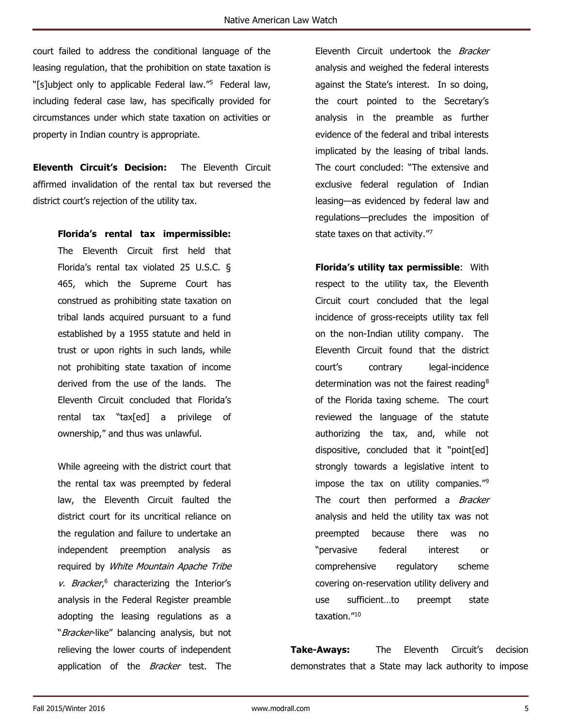court failed to address the conditional language of the leasing regulation, that the prohibition on state taxation is "[s]ubject only to applicable Federal law."<sup>5</sup> Federal law, including federal case law, has specifically provided for circumstances under which state taxation on activities or property in Indian country is appropriate.

**Eleventh Circuit's Decision:** The Eleventh Circuit affirmed invalidation of the rental tax but reversed the district court's rejection of the utility tax.

**Florida's rental tax impermissible:**

The Eleventh Circuit first held that Florida's rental tax violated 25 U.S.C. § 465, which the Supreme Court has construed as prohibiting state taxation on tribal lands acquired pursuant to a fund established by a 1955 statute and held in trust or upon rights in such lands, while not prohibiting state taxation of income derived from the use of the lands. The Eleventh Circuit concluded that Florida's rental tax "tax[ed] a privilege of ownership," and thus was unlawful.

While agreeing with the district court that the rental tax was preempted by federal law, the Eleventh Circuit faulted the district court for its uncritical reliance on the regulation and failure to undertake an independent preemption analysis as required by *White Mountain Apache Tribe*  $v.$  Bracker,<sup>6</sup> characterizing the Interior's analysis in the Federal Register preamble adopting the leasing regulations as a "Bracker-like" balancing analysis, but not relieving the lower courts of independent application of the Bracker test. The

Eleventh Circuit undertook the *Bracker* analysis and weighed the federal interests against the State's interest. In so doing, the court pointed to the Secretary's analysis in the preamble as further evidence of the federal and tribal interests implicated by the leasing of tribal lands. The court concluded: "The extensive and exclusive federal regulation of Indian leasing—as evidenced by federal law and regulations—precludes the imposition of state taxes on that activity."7

**Florida's utility tax permissible**: With respect to the utility tax, the Eleventh Circuit court concluded that the legal incidence of gross-receipts utility tax fell on the non-Indian utility company. The Eleventh Circuit found that the district court's contrary legal-incidence determination was not the fairest reading<sup>8</sup> of the Florida taxing scheme. The court reviewed the language of the statute authorizing the tax, and, while not dispositive, concluded that it "point[ed] strongly towards a legislative intent to impose the tax on utility companies."<sup>9</sup> The court then performed a Bracker analysis and held the utility tax was not preempted because there was no "pervasive federal interest or comprehensive regulatory scheme covering on-reservation utility delivery and use sufficient…to preempt state taxation."<sup>10</sup>

**Take-Aways:** The Eleventh Circuit's decision demonstrates that a State may lack authority to impose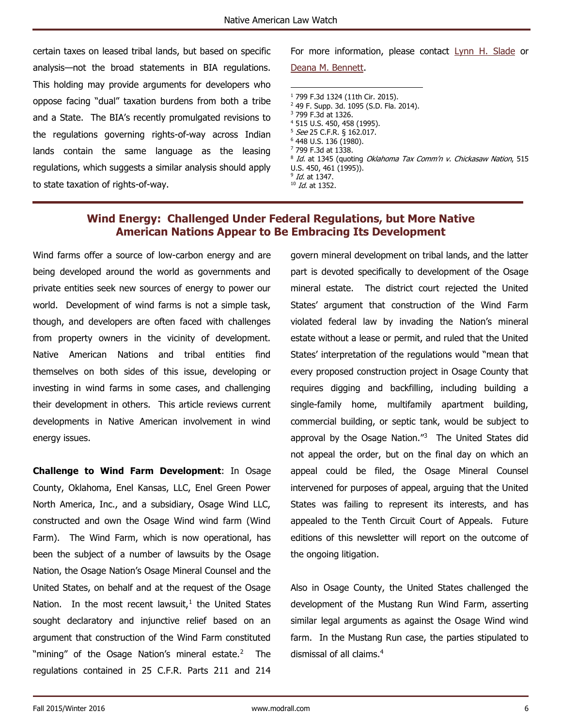certain taxes on leased tribal lands, but based on specific analysis—not the broad statements in BIA regulations. This holding may provide arguments for developers who oppose facing "dual" taxation burdens from both a tribe and a State. The BIA's recently promulgated revisions to the regulations governing rights-of-way across Indian lands contain the same language as the leasing regulations, which suggests a similar analysis should apply to state taxation of rights-of-way.

For more information, please contact [Lynn H. Slade](http://modrall.com/lhs) or [Deana M. Bennett.](http://modrall.com/dmb)

 $\overline{a}$  799 F.3d 1324 (11th Cir. 2015). 49 F. Supp. 3d. 1095 (S.D. Fla. 2014). 799 F.3d at 1326. 515 U.S. 450, 458 (1995). See 25 C.F.R. § 162.017. 448 U.S. 136 (1980). 799 F.3d at 1338. <sup>8</sup> Id. at 1345 (quoting Oklahoma Tax Comm'n v. Chickasaw Nation, 515 U.S. 450, 461 (1995)). <sup>9</sup> *Id.* at 1347.

#### $10$  *Id.* at 1352.

# **Wind Energy: Challenged Under Federal Regulations, but More Native American Nations Appear to Be Embracing Its Development**

<span id="page-5-0"></span>Wind farms offer a source of low-carbon energy and are being developed around the world as governments and private entities seek new sources of energy to power our world. Development of wind farms is not a simple task, though, and developers are often faced with challenges from property owners in the vicinity of development. Native American Nations and tribal entities find themselves on both sides of this issue, developing or investing in wind farms in some cases, and challenging their development in others. This article reviews current developments in Native American involvement in wind energy issues.

**Challenge to Wind Farm Development**: In Osage County, Oklahoma, Enel Kansas, LLC, Enel Green Power North America, Inc., and a subsidiary, Osage Wind LLC, constructed and own the Osage Wind wind farm (Wind Farm). The Wind Farm, which is now operational, has been the subject of a number of lawsuits by the Osage Nation, the Osage Nation's Osage Mineral Counsel and the United States, on behalf and at the request of the Osage Nation. In the most recent lawsuit, $<sup>1</sup>$  the United States</sup> sought declaratory and injunctive relief based on an argument that construction of the Wind Farm constituted "mining" of the Osage Nation's mineral estate.<sup>2</sup> The regulations contained in 25 C.F.R. Parts 211 and 214

govern mineral development on tribal lands, and the latter part is devoted specifically to development of the Osage mineral estate. The district court rejected the United States' argument that construction of the Wind Farm violated federal law by invading the Nation's mineral estate without a lease or permit, and ruled that the United States' interpretation of the regulations would "mean that every proposed construction project in Osage County that requires digging and backfilling, including building a single-family home, multifamily apartment building, commercial building, or septic tank, would be subject to approval by the Osage Nation."<sup>3</sup> The United States did not appeal the order, but on the final day on which an appeal could be filed, the Osage Mineral Counsel intervened for purposes of appeal, arguing that the United States was failing to represent its interests, and has appealed to the Tenth Circuit Court of Appeals. Future editions of this newsletter will report on the outcome of the ongoing litigation.

Also in Osage County, the United States challenged the development of the Mustang Run Wind Farm, asserting similar legal arguments as against the Osage Wind wind farm. In the Mustang Run case, the parties stipulated to dismissal of all claims.4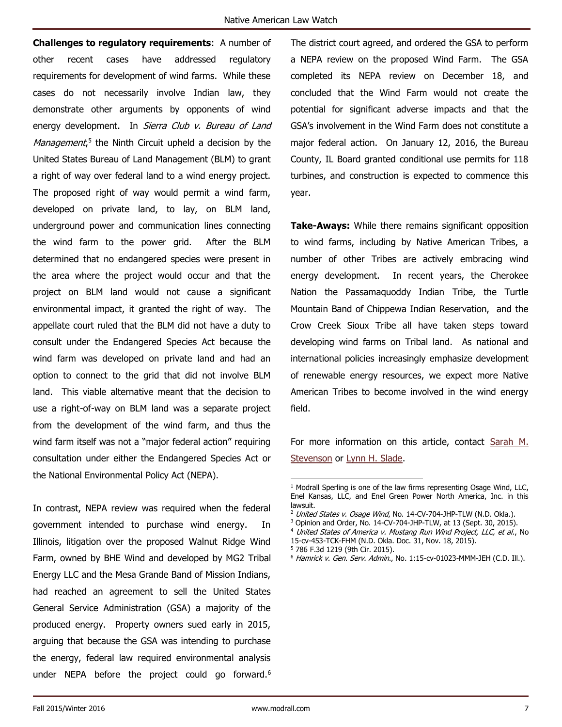**Challenges to regulatory requirements**: A number of other recent cases have addressed regulatory requirements for development of wind farms. While these cases do not necessarily involve Indian law, they demonstrate other arguments by opponents of wind energy development. In Sierra Club v. Bureau of Land Management,<sup>5</sup> the Ninth Circuit upheld a decision by the United States Bureau of Land Management (BLM) to grant a right of way over federal land to a wind energy project. The proposed right of way would permit a wind farm, developed on private land, to lay, on BLM land, underground power and communication lines connecting the wind farm to the power grid. After the BLM determined that no endangered species were present in the area where the project would occur and that the project on BLM land would not cause a significant environmental impact, it granted the right of way. The appellate court ruled that the BLM did not have a duty to consult under the Endangered Species Act because the wind farm was developed on private land and had an option to connect to the grid that did not involve BLM land. This viable alternative meant that the decision to use a right-of-way on BLM land was a separate project from the development of the wind farm, and thus the wind farm itself was not a "major federal action" requiring consultation under either the Endangered Species Act or the National Environmental Policy Act (NEPA).

In contrast, NEPA review was required when the federal government intended to purchase wind energy. In Illinois, litigation over the proposed Walnut Ridge Wind Farm, owned by BHE Wind and developed by MG2 Tribal Energy LLC and the Mesa Grande Band of Mission Indians, had reached an agreement to sell the United States General Service Administration (GSA) a majority of the produced energy. Property owners sued early in 2015, arguing that because the GSA was intending to purchase the energy, federal law required environmental analysis under NEPA before the project could go forward.<sup>6</sup> The district court agreed, and ordered the GSA to perform a NEPA review on the proposed Wind Farm. The GSA completed its NEPA review on December 18, and concluded that the Wind Farm would not create the potential for significant adverse impacts and that the GSA's involvement in the Wind Farm does not constitute a major federal action. On January 12, 2016, the Bureau County, IL Board granted conditional use permits for 118 turbines, and construction is expected to commence this year.

**Take-Aways:** While there remains significant opposition to wind farms, including by Native American Tribes, a number of other Tribes are actively embracing wind energy development. In recent years, the Cherokee Nation the Passamaquoddy Indian Tribe, the Turtle Mountain Band of Chippewa Indian Reservation, and the Crow Creek Sioux Tribe all have taken steps toward developing wind farms on Tribal land. As national and international policies increasingly emphasize development of renewable energy resources, we expect more Native American Tribes to become involved in the wind energy field.

For more information on this article, contact Sarah M. [Stevenson](http://modrall.com/sms) or [Lynn H. Slade.](http://modrall.com/lhs)

- <sup>2</sup> United States v. Osage Wind, No. 14-CV-704-JHP-TLW (N.D. Okla.).
- <sup>3</sup> Opinion and Order, No. 14-CV-704-JHP-TLW, at 13 (Sept. 30, 2015).
- <sup>4</sup> United States of America v. Mustang Run Wind Project, LLC, et al., No
- 15-cv-453-TCK-FHM (N.D. Okla. Doc. 31, Nov. 18, 2015). <sup>5</sup> 786 F.3d 1219 (9th Cir. 2015).
- <sup>6</sup> Hamrick v. Gen. Serv. Admin., No. 1:15-cv-01023-MMM-JEH (C.D. Ill.).

 $\overline{a}$ 

<sup>&</sup>lt;sup>1</sup> Modrall Sperling is one of the law firms representing Osage Wind, LLC, Enel Kansas, LLC, and Enel Green Power North America, Inc. in this lawsuit.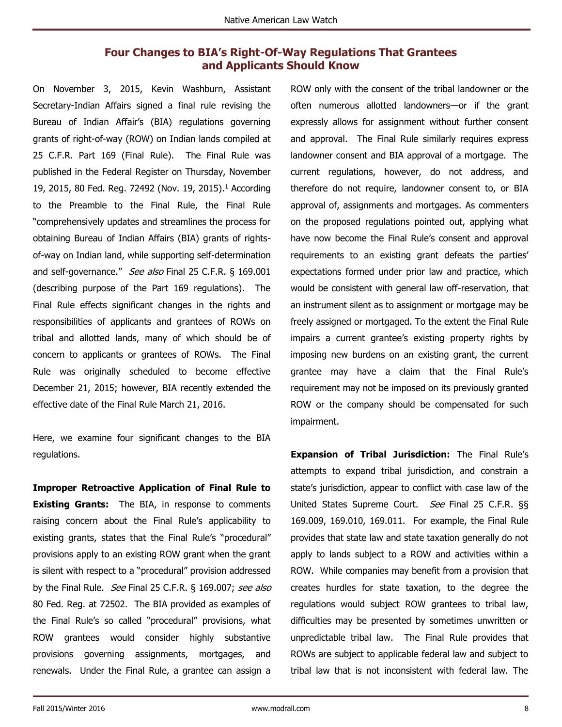# **Four Changes to BIA's Right-Of-Way Regulations That Grantees and Applicants Should Know**

<span id="page-7-0"></span>On November 3, 2015, Kevin Washburn, Assistant Secretary-Indian Affairs signed a final rule revising the Bureau of Indian Affair's (BIA) regulations governing grants of right-of-way (ROW) on Indian lands compiled at 25 C.F.R. Part 169 (Final Rule). The Final Rule was published in the Federal Register on Thursday, November 19, 2015, 80 Fed. Reg. 72492 (Nov. 19, 2015).<sup>1</sup> According to the Preamble to the Final Rule, the Final Rule "comprehensively updates and streamlines the process for obtaining Bureau of Indian Affairs (BIA) grants of rightsof-way on Indian land, while supporting self-determination and self-governance." See also Final 25 C.F.R. § 169.001 (describing purpose of the Part 169 regulations). The Final Rule effects significant changes in the rights and responsibilities of applicants and grantees of ROWs on tribal and allotted lands, many of which should be of concern to applicants or grantees of ROWs. The Final Rule was originally scheduled to become effective December 21, 2015; however, BIA recently extended the effective date of the Final Rule March 21, 2016.

Here, we examine four significant changes to the BIA regulations.

**Improper Retroactive Application of Final Rule to Existing Grants:** The BIA, in response to comments raising concern about the Final Rule's applicability to existing grants, states that the Final Rule's "procedural" provisions apply to an existing ROW grant when the grant is silent with respect to a "procedural" provision addressed by the Final Rule. See Final 25 C.F.R. § 169.007; see also 80 Fed. Reg. at 72502. The BIA provided as examples of the Final Rule's so called "procedural" provisions, what ROW grantees would consider highly substantive provisions governing assignments, mortgages, and renewals. Under the Final Rule, a grantee can assign a

ROW only with the consent of the tribal landowner or the often numerous allotted landowners—or if the grant expressly allows for assignment without further consent and approval. The Final Rule similarly requires express landowner consent and BIA approval of a mortgage. The current regulations, however, do not address, and therefore do not require, landowner consent to, or BIA approval of, assignments and mortgages. As commenters on the proposed regulations pointed out, applying what have now become the Final Rule's consent and approval requirements to an existing grant defeats the parties' expectations formed under prior law and practice, which would be consistent with general law off-reservation, that an instrument silent as to assignment or mortgage may be freely assigned or mortgaged. To the extent the Final Rule impairs a current grantee's existing property rights by imposing new burdens on an existing grant, the current grantee may have a claim that the Final Rule's requirement may not be imposed on its previously granted ROW or the company should be compensated for such impairment.

**Expansion of Tribal Jurisdiction:** The Final Rule's attempts to expand tribal jurisdiction, and constrain a state's jurisdiction, appear to conflict with case law of the United States Supreme Court. See Final 25 C.F.R. §§ 169.009, 169.010, 169.011. For example, the Final Rule provides that state law and state taxation generally do not apply to lands subject to a ROW and activities within a ROW. While companies may benefit from a provision that creates hurdles for state taxation, to the degree the regulations would subject ROW grantees to tribal law, difficulties may be presented by sometimes unwritten or unpredictable tribal law. The Final Rule provides that ROWs are subject to applicable federal law and subject to tribal law that is not inconsistent with federal law. The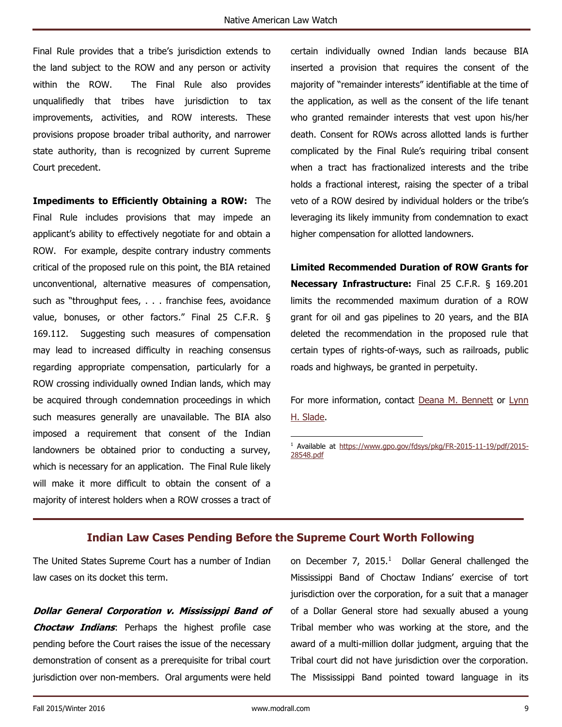Final Rule provides that a tribe's jurisdiction extends to the land subject to the ROW and any person or activity within the ROW. The Final Rule also provides unqualifiedly that tribes have jurisdiction to tax improvements, activities, and ROW interests. These provisions propose broader tribal authority, and narrower state authority, than is recognized by current Supreme Court precedent.

**Impediments to Efficiently Obtaining a ROW:** The Final Rule includes provisions that may impede an applicant's ability to effectively negotiate for and obtain a ROW. For example, despite contrary industry comments critical of the proposed rule on this point, the BIA retained unconventional, alternative measures of compensation, such as "throughput fees, . . . franchise fees, avoidance value, bonuses, or other factors." Final 25 C.F.R. § 169.112. Suggesting such measures of compensation may lead to increased difficulty in reaching consensus regarding appropriate compensation, particularly for a ROW crossing individually owned Indian lands, which may be acquired through condemnation proceedings in which such measures generally are unavailable. The BIA also imposed a requirement that consent of the Indian landowners be obtained prior to conducting a survey, which is necessary for an application. The Final Rule likely will make it more difficult to obtain the consent of a majority of interest holders when a ROW crosses a tract of certain individually owned Indian lands because BIA inserted a provision that requires the consent of the majority of "remainder interests" identifiable at the time of the application, as well as the consent of the life tenant who granted remainder interests that vest upon his/her death. Consent for ROWs across allotted lands is further complicated by the Final Rule's requiring tribal consent when a tract has fractionalized interests and the tribe holds a fractional interest, raising the specter of a tribal veto of a ROW desired by individual holders or the tribe's leveraging its likely immunity from condemnation to exact higher compensation for allotted landowners.

**Limited Recommended Duration of ROW Grants for Necessary Infrastructure:** Final 25 C.F.R. § 169.201 limits the recommended maximum duration of a ROW grant for oil and gas pipelines to 20 years, and the BIA deleted the recommendation in the proposed rule that certain types of rights-of-ways, such as railroads, public roads and highways, be granted in perpetuity.

For more information, contact Deana M. [Bennett](http://modrall.com/dmb) or [Lynn](http://modrall.com/lhs)  [H. Slade.](http://modrall.com/lhs)

<sup>1</sup> Available at [https://www.gpo.gov/fdsys/pkg/FR-2015-11-19/pdf/2015-](https://www.gpo.gov/fdsys/pkg/FR-2015-11-19/pdf/2015-28548.pdf) [28548.pdf](https://www.gpo.gov/fdsys/pkg/FR-2015-11-19/pdf/2015-28548.pdf)

#### **Indian Law Cases Pending Before the Supreme Court Worth Following**

 $\ddot{\phantom{a}}$ 

<span id="page-8-0"></span>The United States Supreme Court has a number of Indian law cases on its docket this term.

**Dollar General Corporation v. Mississippi Band of Choctaw Indians**: Perhaps the highest profile case pending before the Court raises the issue of the necessary demonstration of consent as a prerequisite for tribal court jurisdiction over non-members. Oral arguments were held

on December  $7$ , 2015.<sup>1</sup> Dollar General challenged the Mississippi Band of Choctaw Indians' exercise of tort jurisdiction over the corporation, for a suit that a manager of a Dollar General store had sexually abused a young Tribal member who was working at the store, and the award of a multi-million dollar judgment, arguing that the Tribal court did not have jurisdiction over the corporation. The Mississippi Band pointed toward language in its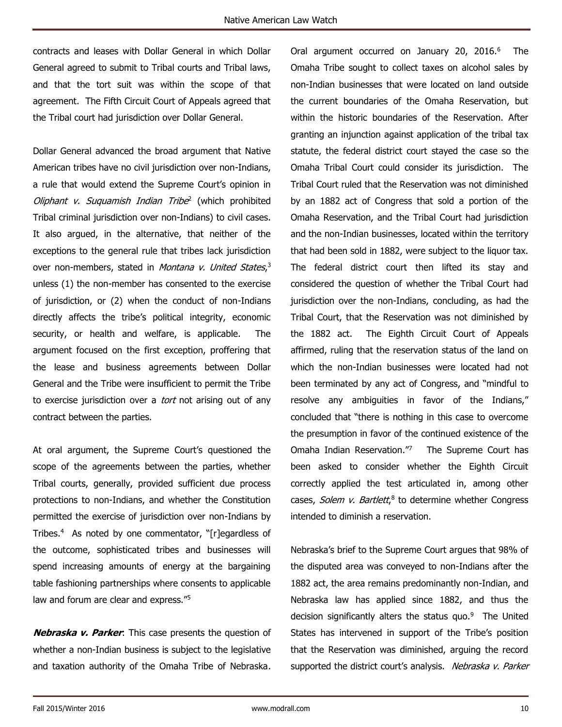contracts and leases with Dollar General in which Dollar General agreed to submit to Tribal courts and Tribal laws, and that the tort suit was within the scope of that agreement. The Fifth Circuit Court of Appeals agreed that the Tribal court had jurisdiction over Dollar General.

Dollar General advanced the broad argument that Native American tribes have no civil jurisdiction over non-Indians, a rule that would extend the Supreme Court's opinion in Oliphant v. Suquamish Indian Tribe<sup>2</sup> (which prohibited Tribal criminal jurisdiction over non-Indians) to civil cases. It also argued, in the alternative, that neither of the exceptions to the general rule that tribes lack jurisdiction over non-members, stated in *Montana v. United States*,<sup>3</sup> unless (1) the non-member has consented to the exercise of jurisdiction, or (2) when the conduct of non-Indians directly affects the tribe's political integrity, economic security, or health and welfare, is applicable. The argument focused on the first exception, proffering that the lease and business agreements between Dollar General and the Tribe were insufficient to permit the Tribe to exercise jurisdiction over a *tort* not arising out of any contract between the parties.

At oral argument, the Supreme Court's questioned the scope of the agreements between the parties, whether Tribal courts, generally, provided sufficient due process protections to non-Indians, and whether the Constitution permitted the exercise of jurisdiction over non-Indians by Tribes.<sup>4</sup> As noted by one commentator, "[r]egardless of the outcome, sophisticated tribes and businesses will spend increasing amounts of energy at the bargaining table fashioning partnerships where consents to applicable law and forum are clear and express."<sup>5</sup>

**Nebraska v. Parker**: This case presents the question of whether a non-Indian business is subject to the legislative and taxation authority of the Omaha Tribe of Nebraska. Oral argument occurred on January 20, 2016.<sup>6</sup> The Omaha Tribe sought to collect taxes on alcohol sales by non-Indian businesses that were located on land outside the current boundaries of the Omaha Reservation, but within the historic boundaries of the Reservation. After granting an injunction against application of the tribal tax statute, the federal district court stayed the case so the Omaha Tribal Court could consider its jurisdiction. The Tribal Court ruled that the Reservation was not diminished by an 1882 act of Congress that sold a portion of the Omaha Reservation, and the Tribal Court had jurisdiction and the non-Indian businesses, located within the territory that had been sold in 1882, were subject to the liquor tax. The federal district court then lifted its stay and considered the question of whether the Tribal Court had jurisdiction over the non-Indians, concluding, as had the Tribal Court, that the Reservation was not diminished by the 1882 act. The Eighth Circuit Court of Appeals affirmed, ruling that the reservation status of the land on which the non-Indian businesses were located had not been terminated by any act of Congress, and "mindful to resolve any ambiguities in favor of the Indians," concluded that "there is nothing in this case to overcome the presumption in favor of the continued existence of the Omaha Indian Reservation."<sup>7</sup> The Supreme Court has been asked to consider whether the Eighth Circuit correctly applied the test articulated in, among other cases, Solem v. Bartlett,<sup>8</sup> to determine whether Congress intended to diminish a reservation.

Nebraska's brief to the Supreme Court argues that 98% of the disputed area was conveyed to non-Indians after the 1882 act, the area remains predominantly non-Indian, and Nebraska law has applied since 1882, and thus the decision significantly alters the status quo.<sup>9</sup> The United States has intervened in support of the Tribe's position that the Reservation was diminished, arguing the record supported the district court's analysis. Nebraska v. Parker